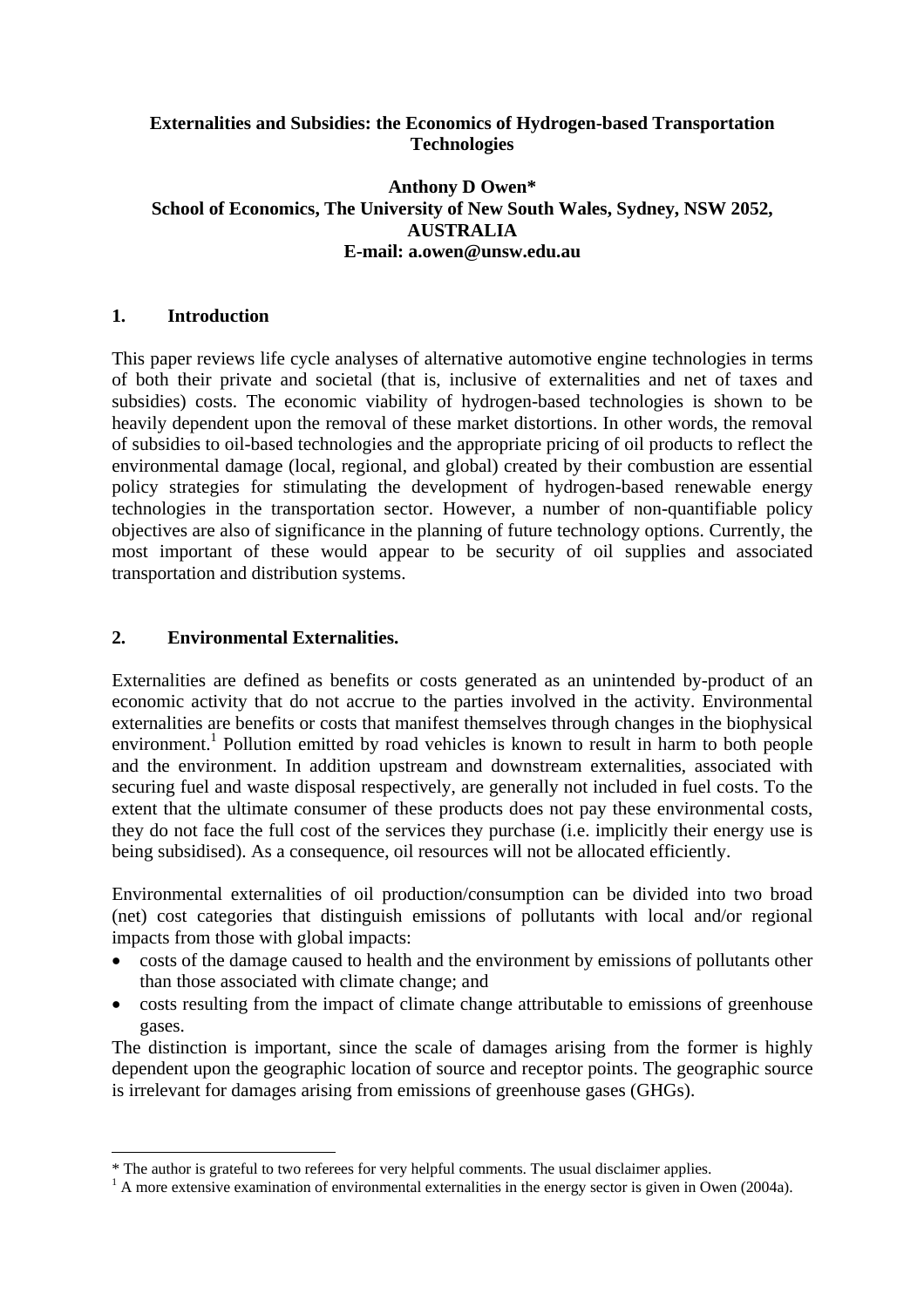### **Externalities and Subsidies: the Economics of Hydrogen-based Transportation Technologies**

## **Anthony D Owen\* School of Economics, The University of New South Wales, Sydney, NSW 2052, AUSTRALIA E-mail: a.owen@unsw.edu.au**

### **1. Introduction**

This paper reviews life cycle analyses of alternative automotive engine technologies in terms of both their private and societal (that is, inclusive of externalities and net of taxes and subsidies) costs. The economic viability of hydrogen-based technologies is shown to be heavily dependent upon the removal of these market distortions. In other words, the removal of subsidies to oil-based technologies and the appropriate pricing of oil products to reflect the environmental damage (local, regional, and global) created by their combustion are essential policy strategies for stimulating the development of hydrogen-based renewable energy technologies in the transportation sector. However, a number of non-quantifiable policy objectives are also of significance in the planning of future technology options. Currently, the most important of these would appear to be security of oil supplies and associated transportation and distribution systems.

## **2. Environmental Externalities.**

Externalities are defined as benefits or costs generated as an unintended by-product of an economic activity that do not accrue to the parties involved in the activity. Environmental externalities are benefits or costs that manifest themselves through changes in the biophysical environment.<sup>1</sup> Pollution emitted by road vehicles is known to result in harm to both people and the environment. In addition upstream and downstream externalities, associated with securing fuel and waste disposal respectively, are generally not included in fuel costs. To the extent that the ultimate consumer of these products does not pay these environmental costs, they do not face the full cost of the services they purchase (i.e. implicitly their energy use is being subsidised). As a consequence, oil resources will not be allocated efficiently.

Environmental externalities of oil production/consumption can be divided into two broad (net) cost categories that distinguish emissions of pollutants with local and/or regional impacts from those with global impacts:

- costs of the damage caused to health and the environment by emissions of pollutants other than those associated with climate change; and
- costs resulting from the impact of climate change attributable to emissions of greenhouse gases.

The distinction is important, since the scale of damages arising from the former is highly dependent upon the geographic location of source and receptor points. The geographic source is irrelevant for damages arising from emissions of greenhouse gases (GHGs).

 $\overline{a}$ \* The author is grateful to two referees for very helpful comments. The usual disclaimer applies. 1

 $^1$  A more extensive examination of environmental externalities in the energy sector is given in Owen (2004a).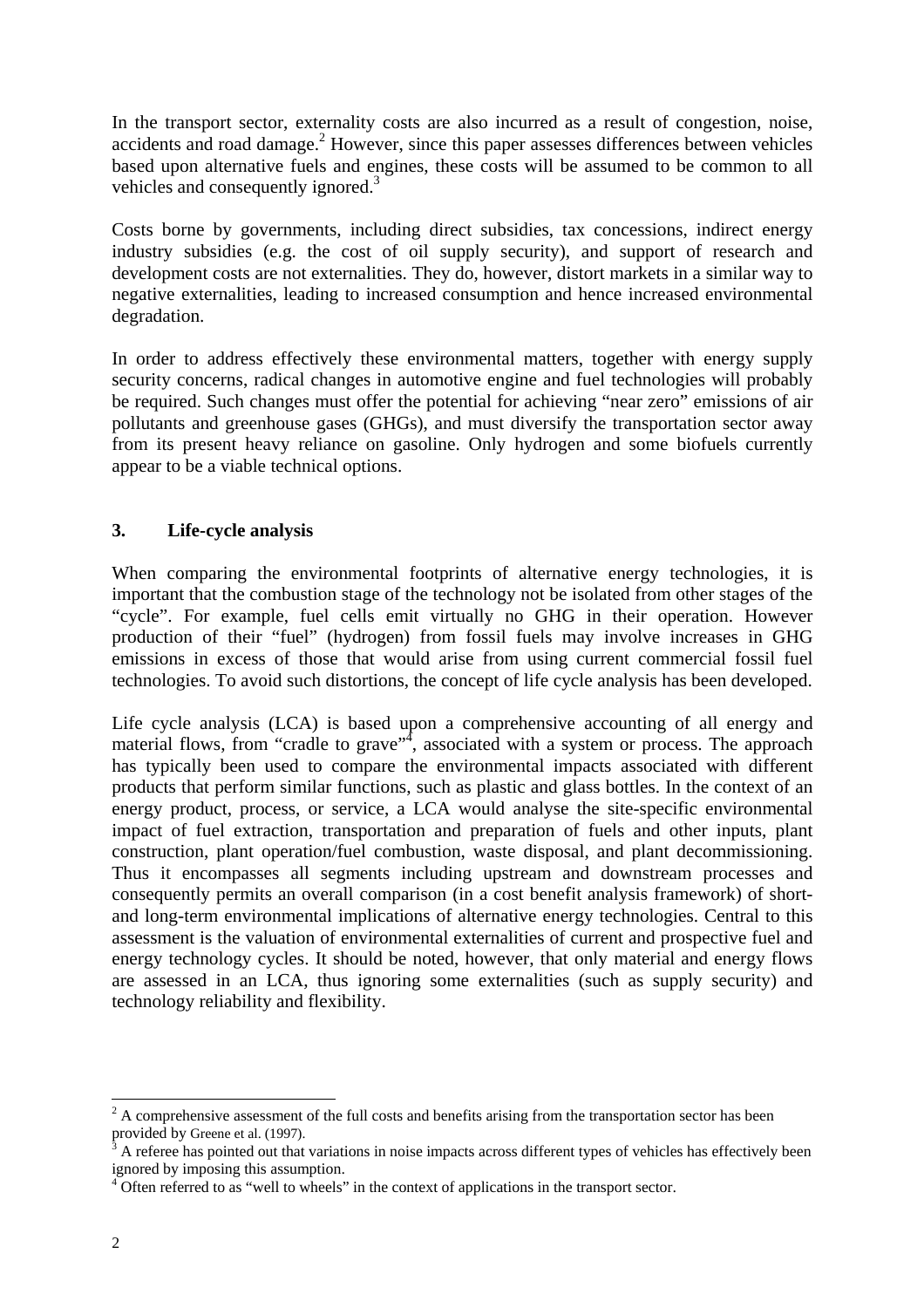In the transport sector, externality costs are also incurred as a result of congestion, noise, accidents and road damage.<sup>2</sup> However, since this paper assesses differences between vehicles based upon alternative fuels and engines, these costs will be assumed to be common to all vehicles and consequently ignored.<sup>3</sup>

Costs borne by governments, including direct subsidies, tax concessions, indirect energy industry subsidies (e.g. the cost of oil supply security), and support of research and development costs are not externalities. They do, however, distort markets in a similar way to negative externalities, leading to increased consumption and hence increased environmental degradation.

In order to address effectively these environmental matters, together with energy supply security concerns, radical changes in automotive engine and fuel technologies will probably be required. Such changes must offer the potential for achieving "near zero" emissions of air pollutants and greenhouse gases (GHGs), and must diversify the transportation sector away from its present heavy reliance on gasoline. Only hydrogen and some biofuels currently appear to be a viable technical options.

# **3. Life-cycle analysis**

When comparing the environmental footprints of alternative energy technologies, it is important that the combustion stage of the technology not be isolated from other stages of the "cycle". For example, fuel cells emit virtually no GHG in their operation. However production of their "fuel" (hydrogen) from fossil fuels may involve increases in GHG emissions in excess of those that would arise from using current commercial fossil fuel technologies. To avoid such distortions, the concept of life cycle analysis has been developed.

Life cycle analysis (LCA) is based upon a comprehensive accounting of all energy and material flows, from "cradle to grave"<sup>4</sup>, associated with a system or process. The approach has typically been used to compare the environmental impacts associated with different products that perform similar functions, such as plastic and glass bottles. In the context of an energy product, process, or service, a LCA would analyse the site-specific environmental impact of fuel extraction, transportation and preparation of fuels and other inputs, plant construction, plant operation/fuel combustion, waste disposal, and plant decommissioning. Thus it encompasses all segments including upstream and downstream processes and consequently permits an overall comparison (in a cost benefit analysis framework) of shortand long-term environmental implications of alternative energy technologies. Central to this assessment is the valuation of environmental externalities of current and prospective fuel and energy technology cycles. It should be noted, however, that only material and energy flows are assessed in an LCA, thus ignoring some externalities (such as supply security) and technology reliability and flexibility.

<sup>&</sup>lt;sup>2</sup>  $^2$  A comprehensive assessment of the full costs and benefits arising from the transportation sector has been provided by Greene et al. (1997).

A referee has pointed out that variations in noise impacts across different types of vehicles has effectively been ignored by imposing this assumption. 4

 $4^{\circ}$  Often referred to as "well to wheels" in the context of applications in the transport sector.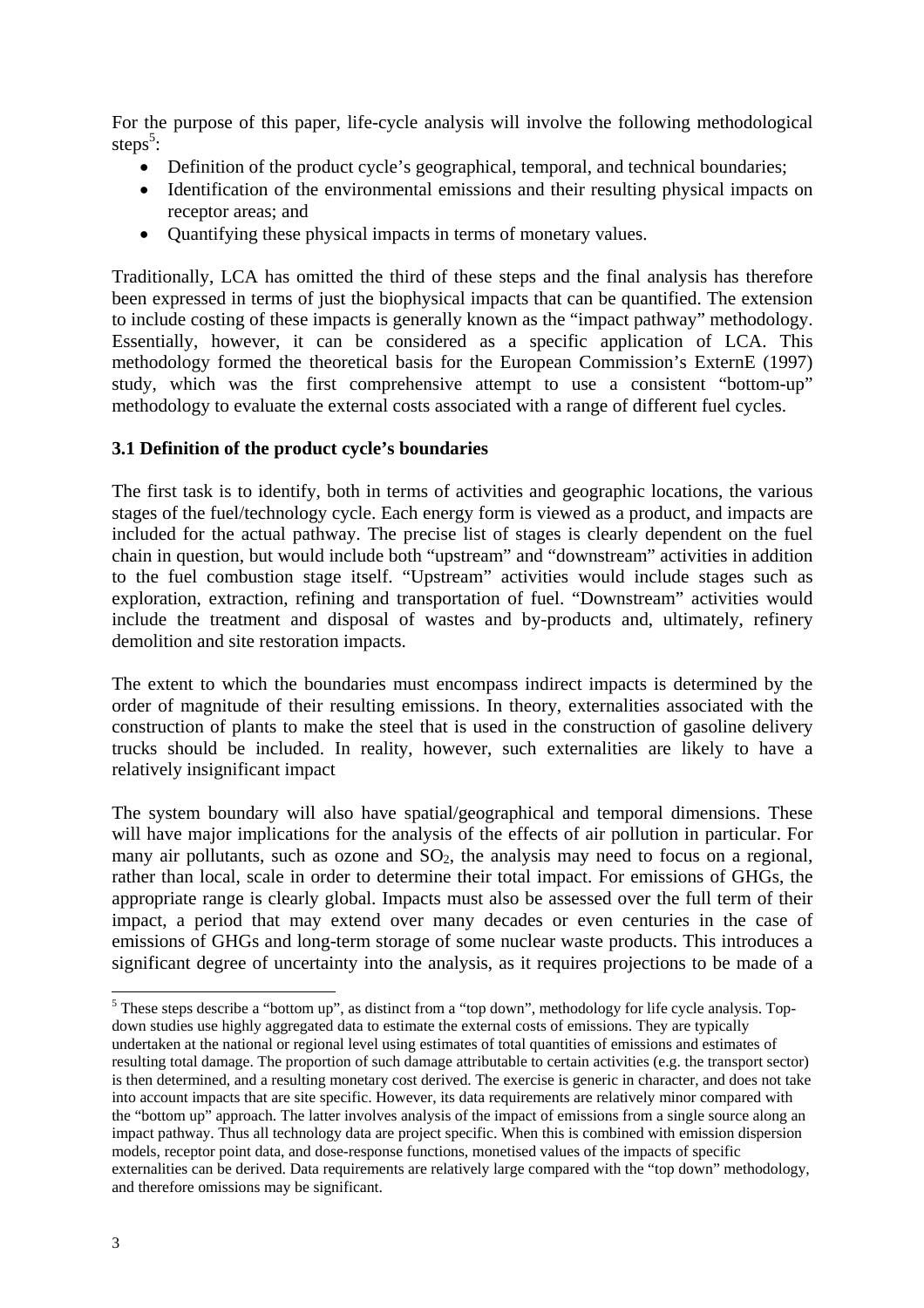For the purpose of this paper, life-cycle analysis will involve the following methodological steps<sup>5</sup>:

- Definition of the product cycle's geographical, temporal, and technical boundaries;
- Identification of the environmental emissions and their resulting physical impacts on receptor areas; and
- Quantifying these physical impacts in terms of monetary values.

Traditionally, LCA has omitted the third of these steps and the final analysis has therefore been expressed in terms of just the biophysical impacts that can be quantified. The extension to include costing of these impacts is generally known as the "impact pathway" methodology. Essentially, however, it can be considered as a specific application of LCA. This methodology formed the theoretical basis for the European Commission's ExternE (1997) study, which was the first comprehensive attempt to use a consistent "bottom-up" methodology to evaluate the external costs associated with a range of different fuel cycles.

# **3.1 Definition of the product cycle's boundaries**

The first task is to identify, both in terms of activities and geographic locations, the various stages of the fuel/technology cycle. Each energy form is viewed as a product, and impacts are included for the actual pathway. The precise list of stages is clearly dependent on the fuel chain in question, but would include both "upstream" and "downstream" activities in addition to the fuel combustion stage itself. "Upstream" activities would include stages such as exploration, extraction, refining and transportation of fuel. "Downstream" activities would include the treatment and disposal of wastes and by-products and, ultimately, refinery demolition and site restoration impacts.

The extent to which the boundaries must encompass indirect impacts is determined by the order of magnitude of their resulting emissions. In theory, externalities associated with the construction of plants to make the steel that is used in the construction of gasoline delivery trucks should be included. In reality, however, such externalities are likely to have a relatively insignificant impact

The system boundary will also have spatial/geographical and temporal dimensions. These will have major implications for the analysis of the effects of air pollution in particular. For many air pollutants, such as ozone and  $SO<sub>2</sub>$ , the analysis may need to focus on a regional, rather than local, scale in order to determine their total impact. For emissions of GHGs, the appropriate range is clearly global. Impacts must also be assessed over the full term of their impact, a period that may extend over many decades or even centuries in the case of emissions of GHGs and long-term storage of some nuclear waste products. This introduces a significant degree of uncertainty into the analysis, as it requires projections to be made of a

 <sup>5</sup> <sup>5</sup> These steps describe a "bottom up", as distinct from a "top down", methodology for life cycle analysis. Topdown studies use highly aggregated data to estimate the external costs of emissions. They are typically undertaken at the national or regional level using estimates of total quantities of emissions and estimates of resulting total damage. The proportion of such damage attributable to certain activities (e.g. the transport sector) is then determined, and a resulting monetary cost derived. The exercise is generic in character, and does not take into account impacts that are site specific. However, its data requirements are relatively minor compared with the "bottom up" approach. The latter involves analysis of the impact of emissions from a single source along an impact pathway. Thus all technology data are project specific. When this is combined with emission dispersion models, receptor point data, and dose-response functions, monetised values of the impacts of specific externalities can be derived. Data requirements are relatively large compared with the "top down" methodology, and therefore omissions may be significant.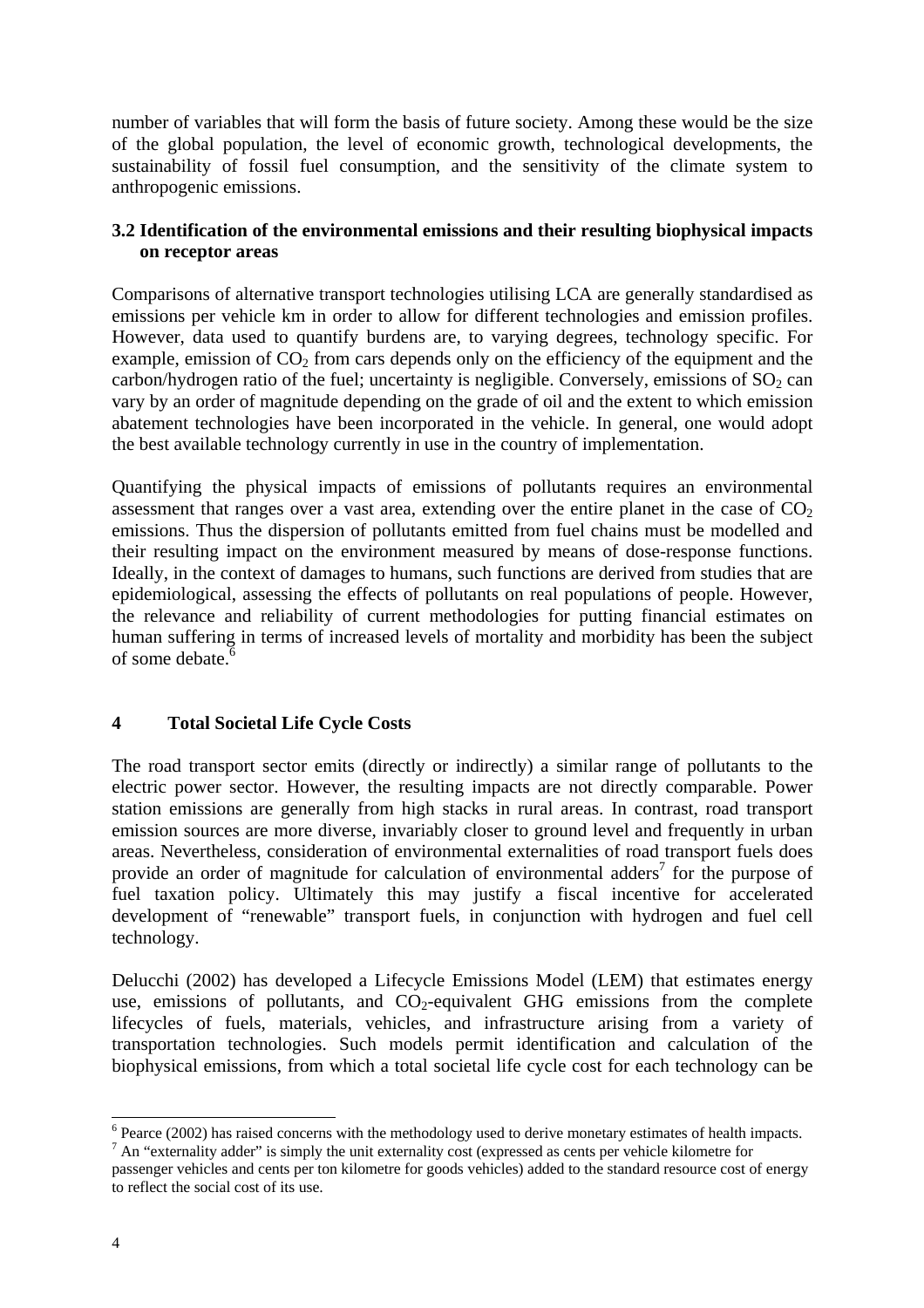number of variables that will form the basis of future society. Among these would be the size of the global population, the level of economic growth, technological developments, the sustainability of fossil fuel consumption, and the sensitivity of the climate system to anthropogenic emissions.

# **3.2 Identification of the environmental emissions and their resulting biophysical impacts on receptor areas**

Comparisons of alternative transport technologies utilising LCA are generally standardised as emissions per vehicle km in order to allow for different technologies and emission profiles. However, data used to quantify burdens are, to varying degrees, technology specific. For example, emission of  $CO<sub>2</sub>$  from cars depends only on the efficiency of the equipment and the carbon/hydrogen ratio of the fuel; uncertainty is negligible. Conversely, emissions of  $SO_2$  can vary by an order of magnitude depending on the grade of oil and the extent to which emission abatement technologies have been incorporated in the vehicle. In general, one would adopt the best available technology currently in use in the country of implementation.

Quantifying the physical impacts of emissions of pollutants requires an environmental assessment that ranges over a vast area, extending over the entire planet in the case of  $CO<sub>2</sub>$ emissions. Thus the dispersion of pollutants emitted from fuel chains must be modelled and their resulting impact on the environment measured by means of dose-response functions. Ideally, in the context of damages to humans, such functions are derived from studies that are epidemiological, assessing the effects of pollutants on real populations of people. However, the relevance and reliability of current methodologies for putting financial estimates on human suffering in terms of increased levels of mortality and morbidity has been the subject of some debate. $6$ 

# **4 Total Societal Life Cycle Costs**

The road transport sector emits (directly or indirectly) a similar range of pollutants to the electric power sector. However, the resulting impacts are not directly comparable. Power station emissions are generally from high stacks in rural areas. In contrast, road transport emission sources are more diverse, invariably closer to ground level and frequently in urban areas. Nevertheless, consideration of environmental externalities of road transport fuels does provide an order of magnitude for calculation of environmental adders<sup>7</sup> for the purpose of fuel taxation policy. Ultimately this may justify a fiscal incentive for accelerated development of "renewable" transport fuels, in conjunction with hydrogen and fuel cell technology.

Delucchi (2002) has developed a Lifecycle Emissions Model (LEM) that estimates energy use, emissions of pollutants, and  $CO<sub>2</sub>$ -equivalent GHG emissions from the complete lifecycles of fuels, materials, vehicles, and infrastructure arising from a variety of transportation technologies. Such models permit identification and calculation of the biophysical emissions, from which a total societal life cycle cost for each technology can be

 <sup>6</sup> <sup>6</sup> Pearce (2002) has raised concerns with the methodology used to derive monetary estimates of health impacts.  $\frac{1}{2}$  An "externality adder" is simply the unit externality cost (expressed as cents per vehicle kilometre for

passenger vehicles and cents per ton kilometre for goods vehicles) added to the standard resource cost of energy to reflect the social cost of its use.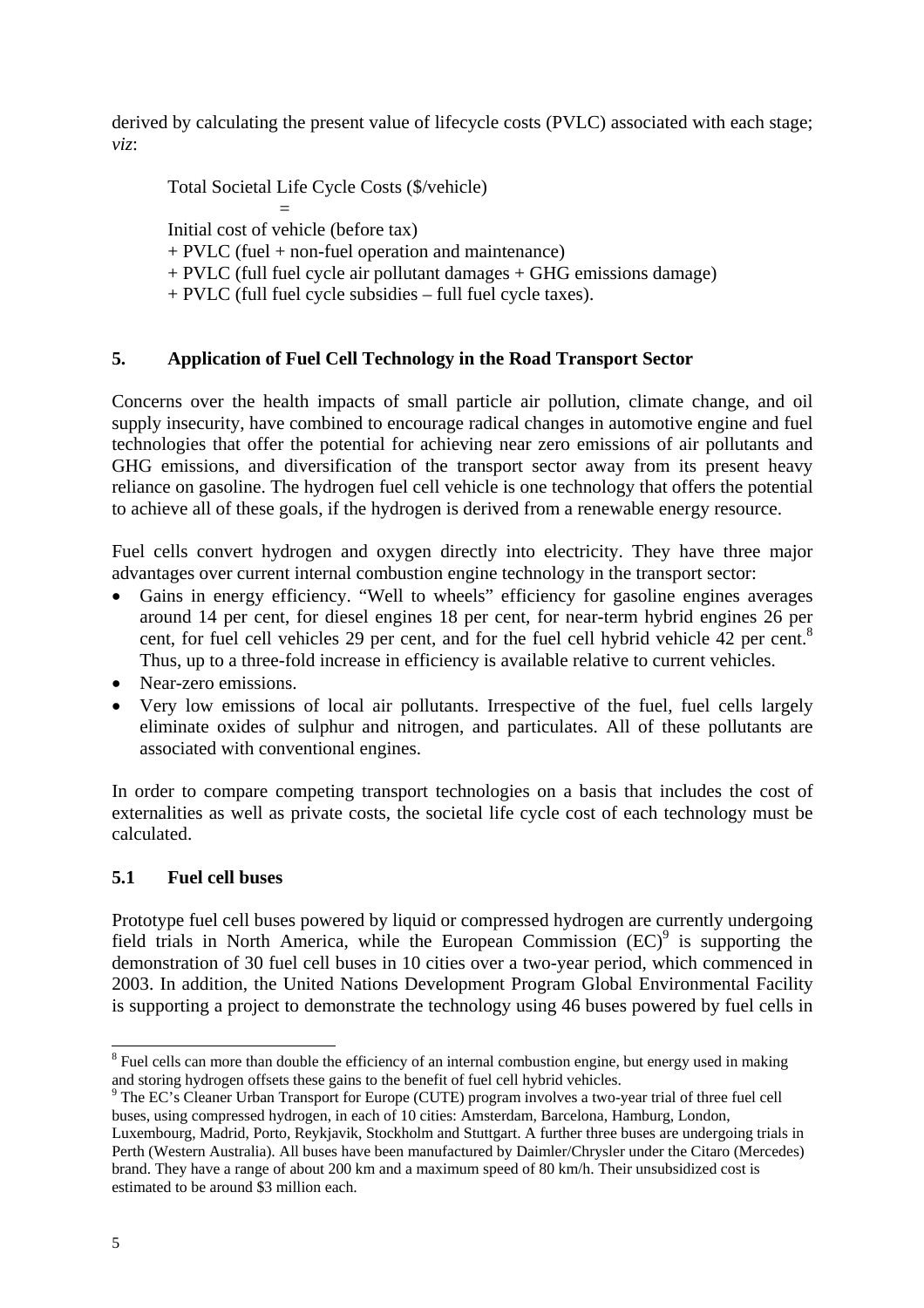derived by calculating the present value of lifecycle costs (PVLC) associated with each stage; *viz*:

Total Societal Life Cycle Costs (\$/vehicle)  $=$ Initial cost of vehicle (before tax) + PVLC (fuel + non-fuel operation and maintenance) + PVLC (full fuel cycle air pollutant damages + GHG emissions damage) + PVLC (full fuel cycle subsidies – full fuel cycle taxes).

# **5. Application of Fuel Cell Technology in the Road Transport Sector**

Concerns over the health impacts of small particle air pollution, climate change, and oil supply insecurity, have combined to encourage radical changes in automotive engine and fuel technologies that offer the potential for achieving near zero emissions of air pollutants and GHG emissions, and diversification of the transport sector away from its present heavy reliance on gasoline. The hydrogen fuel cell vehicle is one technology that offers the potential to achieve all of these goals, if the hydrogen is derived from a renewable energy resource.

Fuel cells convert hydrogen and oxygen directly into electricity. They have three major advantages over current internal combustion engine technology in the transport sector:

- Gains in energy efficiency. "Well to wheels" efficiency for gasoline engines averages around 14 per cent, for diesel engines 18 per cent, for near-term hybrid engines 26 per cent, for fuel cell vehicles 29 per cent, and for the fuel cell hybrid vehicle 42 per cent.<sup>8</sup> Thus, up to a three-fold increase in efficiency is available relative to current vehicles.
- Near-zero emissions.
- Very low emissions of local air pollutants. Irrespective of the fuel, fuel cells largely eliminate oxides of sulphur and nitrogen, and particulates. All of these pollutants are associated with conventional engines.

In order to compare competing transport technologies on a basis that includes the cost of externalities as well as private costs, the societal life cycle cost of each technology must be calculated.

# **5.1 Fuel cell buses**

Prototype fuel cell buses powered by liquid or compressed hydrogen are currently undergoing field trials in North America, while the European Commission (EC)<sup>9</sup> is supporting the demonstration of 30 fuel cell buses in 10 cities over a two-year period, which commenced in 2003. In addition, the United Nations Development Program Global Environmental Facility is supporting a project to demonstrate the technology using 46 buses powered by fuel cells in

<sup>9</sup> The EC's Cleaner Urban Transport for Europe (CUTE) program involves a two-year trial of three fuel cell buses, using compressed hydrogen, in each of 10 cities: Amsterdam, Barcelona, Hamburg, London,

 <sup>8</sup> <sup>8</sup> Fuel cells can more than double the efficiency of an internal combustion engine, but energy used in making and storing hydrogen offsets these gains to the benefit of fuel cell hybrid vehicles. 9

Luxembourg, Madrid, Porto, Reykjavik, Stockholm and Stuttgart. A further three buses are undergoing trials in Perth (Western Australia). All buses have been manufactured by Daimler/Chrysler under the Citaro (Mercedes) brand. They have a range of about 200 km and a maximum speed of 80 km/h. Their unsubsidized cost is estimated to be around \$3 million each.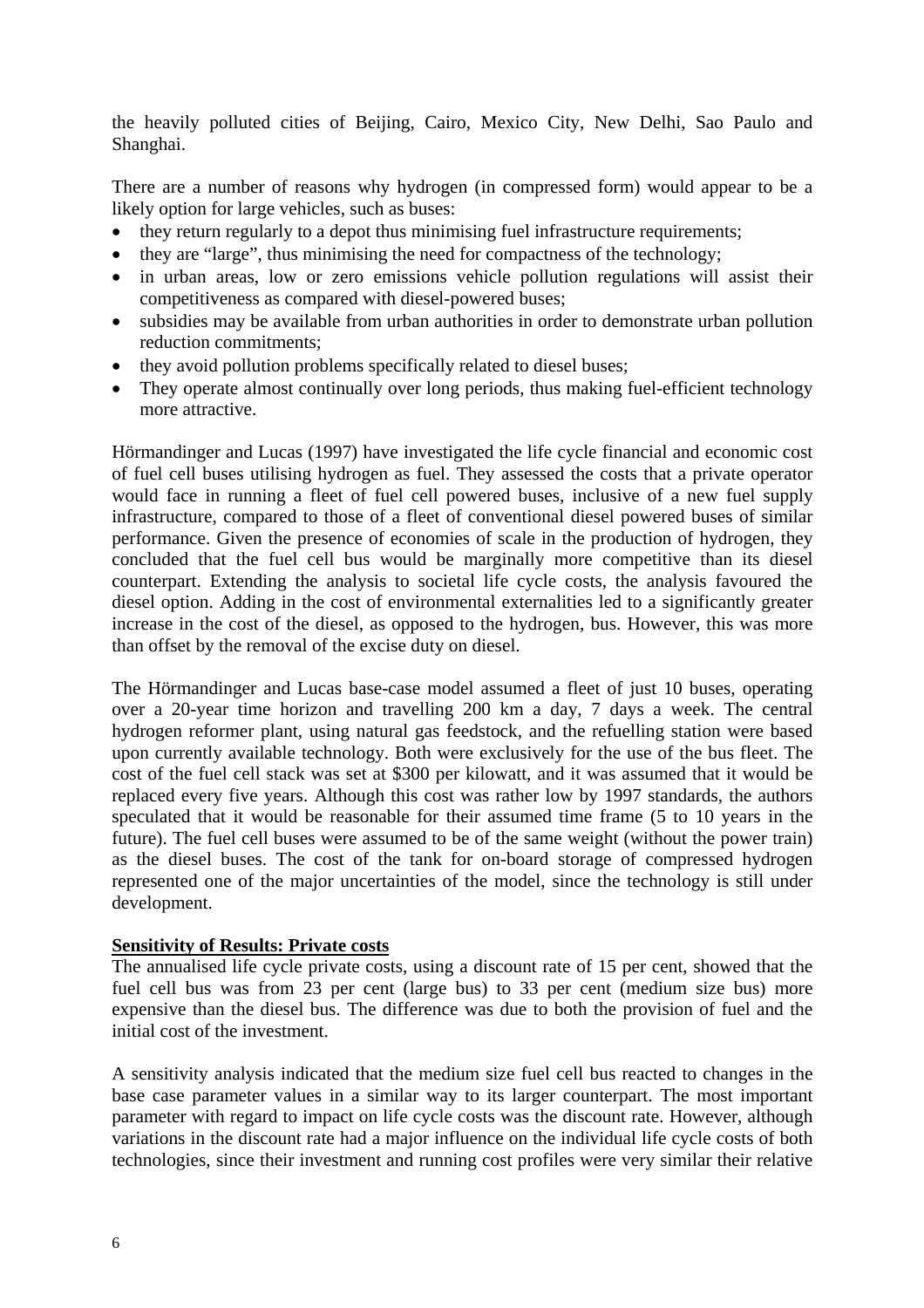the heavily polluted cities of Beijing, Cairo, Mexico City, New Delhi, Sao Paulo and Shanghai.

There are a number of reasons why hydrogen (in compressed form) would appear to be a likely option for large vehicles, such as buses:

- they return regularly to a depot thus minimising fuel infrastructure requirements;
- they are "large", thus minimising the need for compactness of the technology;
- in urban areas, low or zero emissions vehicle pollution regulations will assist their competitiveness as compared with diesel-powered buses;
- subsidies may be available from urban authorities in order to demonstrate urban pollution reduction commitments;
- they avoid pollution problems specifically related to diesel buses;
- They operate almost continually over long periods, thus making fuel-efficient technology more attractive.

Hörmandinger and Lucas (1997) have investigated the life cycle financial and economic cost of fuel cell buses utilising hydrogen as fuel. They assessed the costs that a private operator would face in running a fleet of fuel cell powered buses, inclusive of a new fuel supply infrastructure, compared to those of a fleet of conventional diesel powered buses of similar performance. Given the presence of economies of scale in the production of hydrogen, they concluded that the fuel cell bus would be marginally more competitive than its diesel counterpart. Extending the analysis to societal life cycle costs, the analysis favoured the diesel option. Adding in the cost of environmental externalities led to a significantly greater increase in the cost of the diesel, as opposed to the hydrogen, bus. However, this was more than offset by the removal of the excise duty on diesel.

The Hörmandinger and Lucas base-case model assumed a fleet of just 10 buses, operating over a 20-year time horizon and travelling 200 km a day, 7 days a week. The central hydrogen reformer plant, using natural gas feedstock, and the refuelling station were based upon currently available technology. Both were exclusively for the use of the bus fleet. The cost of the fuel cell stack was set at \$300 per kilowatt, and it was assumed that it would be replaced every five years. Although this cost was rather low by 1997 standards, the authors speculated that it would be reasonable for their assumed time frame (5 to 10 years in the future). The fuel cell buses were assumed to be of the same weight (without the power train) as the diesel buses. The cost of the tank for on-board storage of compressed hydrogen represented one of the major uncertainties of the model, since the technology is still under development.

### **Sensitivity of Results: Private costs**

The annualised life cycle private costs, using a discount rate of 15 per cent, showed that the fuel cell bus was from 23 per cent (large bus) to 33 per cent (medium size bus) more expensive than the diesel bus. The difference was due to both the provision of fuel and the initial cost of the investment.

A sensitivity analysis indicated that the medium size fuel cell bus reacted to changes in the base case parameter values in a similar way to its larger counterpart. The most important parameter with regard to impact on life cycle costs was the discount rate. However, although variations in the discount rate had a major influence on the individual life cycle costs of both technologies, since their investment and running cost profiles were very similar their relative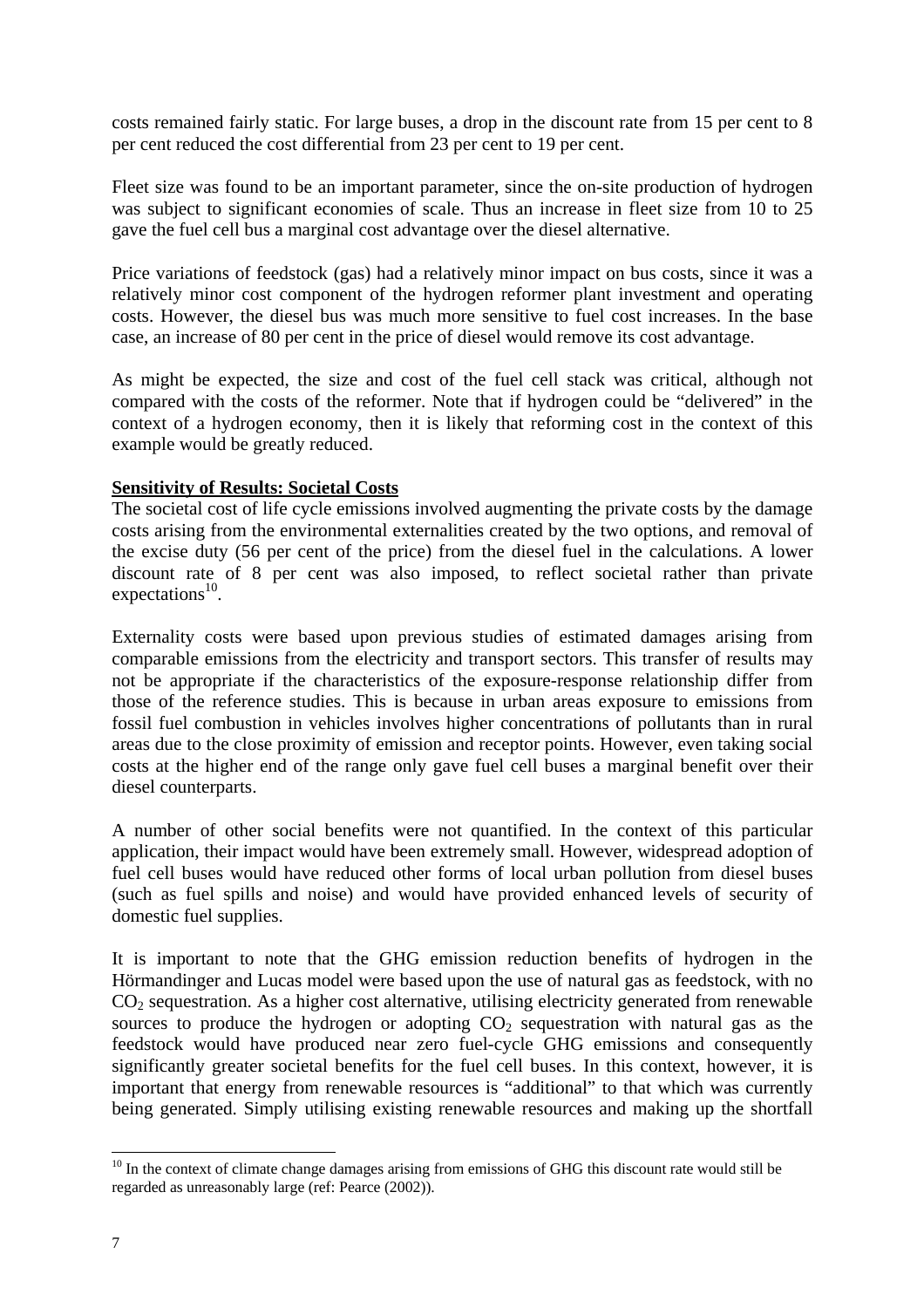costs remained fairly static. For large buses, a drop in the discount rate from 15 per cent to 8 per cent reduced the cost differential from 23 per cent to 19 per cent.

Fleet size was found to be an important parameter, since the on-site production of hydrogen was subject to significant economies of scale. Thus an increase in fleet size from 10 to 25 gave the fuel cell bus a marginal cost advantage over the diesel alternative.

Price variations of feedstock (gas) had a relatively minor impact on bus costs, since it was a relatively minor cost component of the hydrogen reformer plant investment and operating costs. However, the diesel bus was much more sensitive to fuel cost increases. In the base case, an increase of 80 per cent in the price of diesel would remove its cost advantage.

As might be expected, the size and cost of the fuel cell stack was critical, although not compared with the costs of the reformer. Note that if hydrogen could be "delivered" in the context of a hydrogen economy, then it is likely that reforming cost in the context of this example would be greatly reduced.

### **Sensitivity of Results: Societal Costs**

The societal cost of life cycle emissions involved augmenting the private costs by the damage costs arising from the environmental externalities created by the two options, and removal of the excise duty (56 per cent of the price) from the diesel fuel in the calculations. A lower discount rate of 8 per cent was also imposed, to reflect societal rather than private expectations<sup>10</sup>.

Externality costs were based upon previous studies of estimated damages arising from comparable emissions from the electricity and transport sectors. This transfer of results may not be appropriate if the characteristics of the exposure-response relationship differ from those of the reference studies. This is because in urban areas exposure to emissions from fossil fuel combustion in vehicles involves higher concentrations of pollutants than in rural areas due to the close proximity of emission and receptor points. However, even taking social costs at the higher end of the range only gave fuel cell buses a marginal benefit over their diesel counterparts.

A number of other social benefits were not quantified. In the context of this particular application, their impact would have been extremely small. However, widespread adoption of fuel cell buses would have reduced other forms of local urban pollution from diesel buses (such as fuel spills and noise) and would have provided enhanced levels of security of domestic fuel supplies.

It is important to note that the GHG emission reduction benefits of hydrogen in the Hörmandinger and Lucas model were based upon the use of natural gas as feedstock, with no  $CO<sub>2</sub>$  sequestration. As a higher cost alternative, utilising electricity generated from renewable sources to produce the hydrogen or adopting  $CO<sub>2</sub>$  sequestration with natural gas as the feedstock would have produced near zero fuel-cycle GHG emissions and consequently significantly greater societal benefits for the fuel cell buses. In this context, however, it is important that energy from renewable resources is "additional" to that which was currently being generated. Simply utilising existing renewable resources and making up the shortfall

<sup>&</sup>lt;sup>10</sup> In the context of climate change damages arising from emissions of GHG this discount rate would still be regarded as unreasonably large (ref: Pearce (2002)).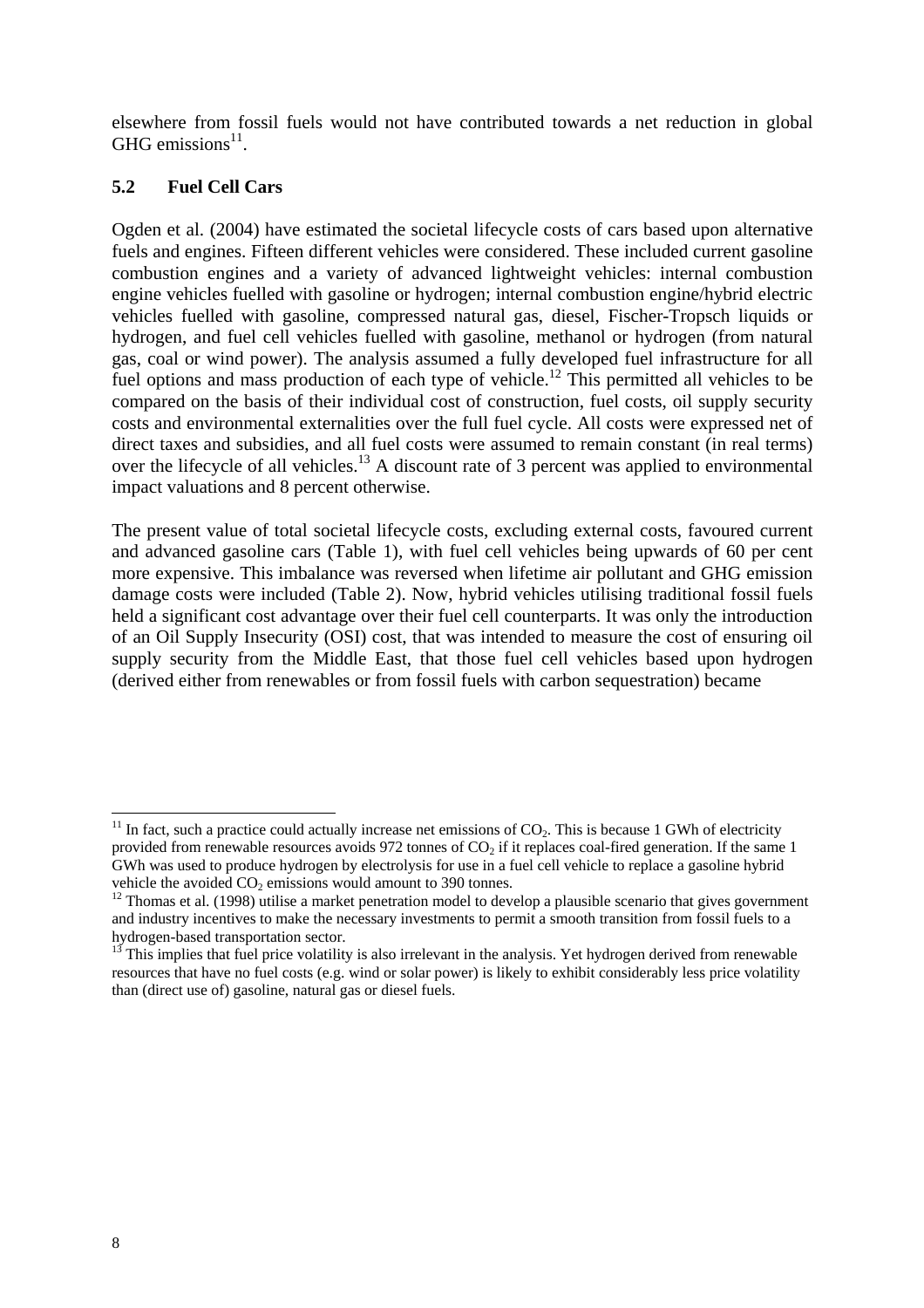elsewhere from fossil fuels would not have contributed towards a net reduction in global GHG emissions $^{11}$ .

# **5.2 Fuel Cell Cars**

Ogden et al. (2004) have estimated the societal lifecycle costs of cars based upon alternative fuels and engines. Fifteen different vehicles were considered. These included current gasoline combustion engines and a variety of advanced lightweight vehicles: internal combustion engine vehicles fuelled with gasoline or hydrogen; internal combustion engine/hybrid electric vehicles fuelled with gasoline, compressed natural gas, diesel, Fischer-Tropsch liquids or hydrogen, and fuel cell vehicles fuelled with gasoline, methanol or hydrogen (from natural gas, coal or wind power). The analysis assumed a fully developed fuel infrastructure for all fuel options and mass production of each type of vehicle.<sup>12</sup> This permitted all vehicles to be compared on the basis of their individual cost of construction, fuel costs, oil supply security costs and environmental externalities over the full fuel cycle. All costs were expressed net of direct taxes and subsidies, and all fuel costs were assumed to remain constant (in real terms) over the lifecycle of all vehicles.<sup>13</sup> A discount rate of 3 percent was applied to environmental impact valuations and 8 percent otherwise.

The present value of total societal lifecycle costs, excluding external costs, favoured current and advanced gasoline cars (Table 1), with fuel cell vehicles being upwards of 60 per cent more expensive. This imbalance was reversed when lifetime air pollutant and GHG emission damage costs were included (Table 2). Now, hybrid vehicles utilising traditional fossil fuels held a significant cost advantage over their fuel cell counterparts. It was only the introduction of an Oil Supply Insecurity (OSI) cost, that was intended to measure the cost of ensuring oil supply security from the Middle East, that those fuel cell vehicles based upon hydrogen (derived either from renewables or from fossil fuels with carbon sequestration) became

 $\overline{\phantom{a}}$ 

<sup>&</sup>lt;sup>11</sup> In fact, such a practice could actually increase net emissions of  $CO<sub>2</sub>$ . This is because 1 GWh of electricity provided from renewable resources avoids 972 tonnes of  $CO<sub>2</sub>$  if it replaces coal-fired generation. If the same 1 GWh was used to produce hydrogen by electrolysis for use in a fuel cell vehicle to replace a gasoline hybrid vehicle the avoided  $CO_2$  emissions would amount to 390 tonnes.<br><sup>12</sup> Thomas et al. (1998) utilise a market penetration model to develop a plausible scenario that gives government

and industry incentives to make the necessary investments to permit a smooth transition from fossil fuels to a hydrogen-based transportation sector.

 $13$ <sup>This</sup> implies that fuel price volatility is also irrelevant in the analysis. Yet hydrogen derived from renewable resources that have no fuel costs (e.g. wind or solar power) is likely to exhibit considerably less price volatility than (direct use of) gasoline, natural gas or diesel fuels.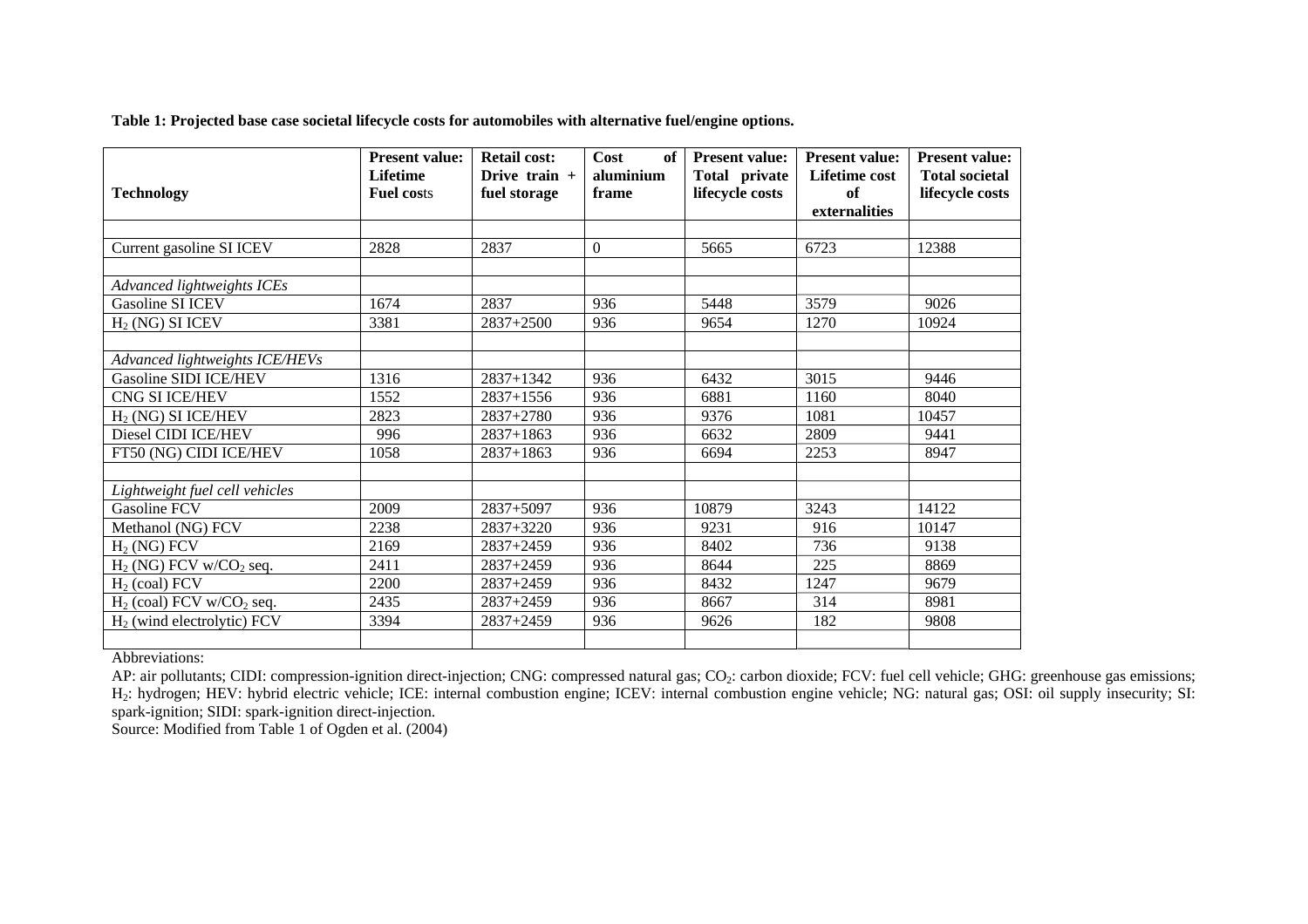**Table 1: Projected base case societal lifecycle costs for automobiles with alternative fuel/engine options.** 

|                                         | <b>Present value:</b><br><b>Lifetime</b> | <b>Retail cost:</b><br>Drive train + | Cost<br>of<br>aluminium | <b>Present value:</b><br>Total private | <b>Present value:</b><br><b>Lifetime cost</b> | <b>Present value:</b><br><b>Total societal</b> |
|-----------------------------------------|------------------------------------------|--------------------------------------|-------------------------|----------------------------------------|-----------------------------------------------|------------------------------------------------|
| <b>Technology</b>                       | <b>Fuel costs</b>                        | fuel storage                         | frame                   | lifecycle costs                        | of<br>externalities                           | lifecycle costs                                |
|                                         |                                          |                                      |                         |                                        |                                               |                                                |
| Current gasoline SI ICEV                | 2828                                     | 2837                                 | $\Omega$                | 5665                                   | 6723                                          | 12388                                          |
|                                         |                                          |                                      |                         |                                        |                                               |                                                |
| Advanced lightweights ICEs              |                                          |                                      |                         |                                        |                                               |                                                |
| <b>Gasoline SI ICEV</b>                 | 1674                                     | 2837                                 | 936                     | 5448                                   | 3579                                          | 9026                                           |
| $H2$ (NG) SI ICEV                       | 3381                                     | 2837+2500                            | 936                     | 9654                                   | 1270                                          | 10924                                          |
|                                         |                                          |                                      |                         |                                        |                                               |                                                |
| Advanced lightweights ICE/HEVs          |                                          |                                      |                         |                                        |                                               |                                                |
| Gasoline SIDI ICE/HEV                   | 1316                                     | 2837+1342                            | 936                     | 6432                                   | 3015                                          | 9446                                           |
| CNG SI ICE/HEV                          | 1552                                     | $2837+1556$                          | 936                     | 6881                                   | 1160                                          | 8040                                           |
| $H2$ (NG) SI ICE/HEV                    | 2823                                     | 2837+2780                            | 936                     | 9376                                   | 1081                                          | 10457                                          |
| Diesel CIDI ICE/HEV                     | 996                                      | $2837 + 1863$                        | 936                     | 6632                                   | 2809                                          | 9441                                           |
| FT50 (NG) CIDI ICE/HEV                  | 1058                                     | $2837+1863$                          | 936                     | 6694                                   | 2253                                          | 8947                                           |
|                                         |                                          |                                      |                         |                                        |                                               |                                                |
| Lightweight fuel cell vehicles          |                                          |                                      |                         |                                        |                                               |                                                |
| <b>Gasoline FCV</b>                     | 2009                                     | 2837+5097                            | 936                     | 10879                                  | 3243                                          | 14122                                          |
| Methanol (NG) FCV                       | 2238                                     | $2837+3220$                          | 936                     | 9231                                   | 916                                           | 10147                                          |
| $H_2(NG)$ FCV                           | 2169                                     | 2837+2459                            | 936                     | 8402                                   | 736                                           | 9138                                           |
| $H_2$ (NG) FCV w/CO <sub>2</sub> seq.   | 2411                                     | 2837+2459                            | 936                     | 8644                                   | 225                                           | 8869                                           |
| $H2$ (coal) FCV                         | 2200                                     | 2837+2459                            | 936                     | 8432                                   | 1247                                          | 9679                                           |
| $H_2$ (coal) FCV w/CO <sub>2</sub> seq. | 2435                                     | 2837+2459                            | 936                     | 8667                                   | 314                                           | 8981                                           |
| $H2$ (wind electrolytic) FCV            | 3394                                     | 2837+2459                            | 936                     | 9626                                   | 182                                           | 9808                                           |
|                                         |                                          |                                      |                         |                                        |                                               |                                                |

Abbreviations:

AP: air pollutants; CIDI: compression-ignition direct-injection; CNG: compressed natural gas; CO<sub>2</sub>: carbon dioxide; FCV: fuel cell vehicle; GHG: greenhouse gas emissions; H2: hydrogen; HEV: hybrid electric vehicle; ICE: internal combustion engine; ICEV: internal combustion engine vehicle; NG: natural gas; OSI: oil supply insecurity; SI: spark-ignition; SIDI: spark-ignition direct-injection.

Source: Modified from Table 1 of Ogden et al. (2004)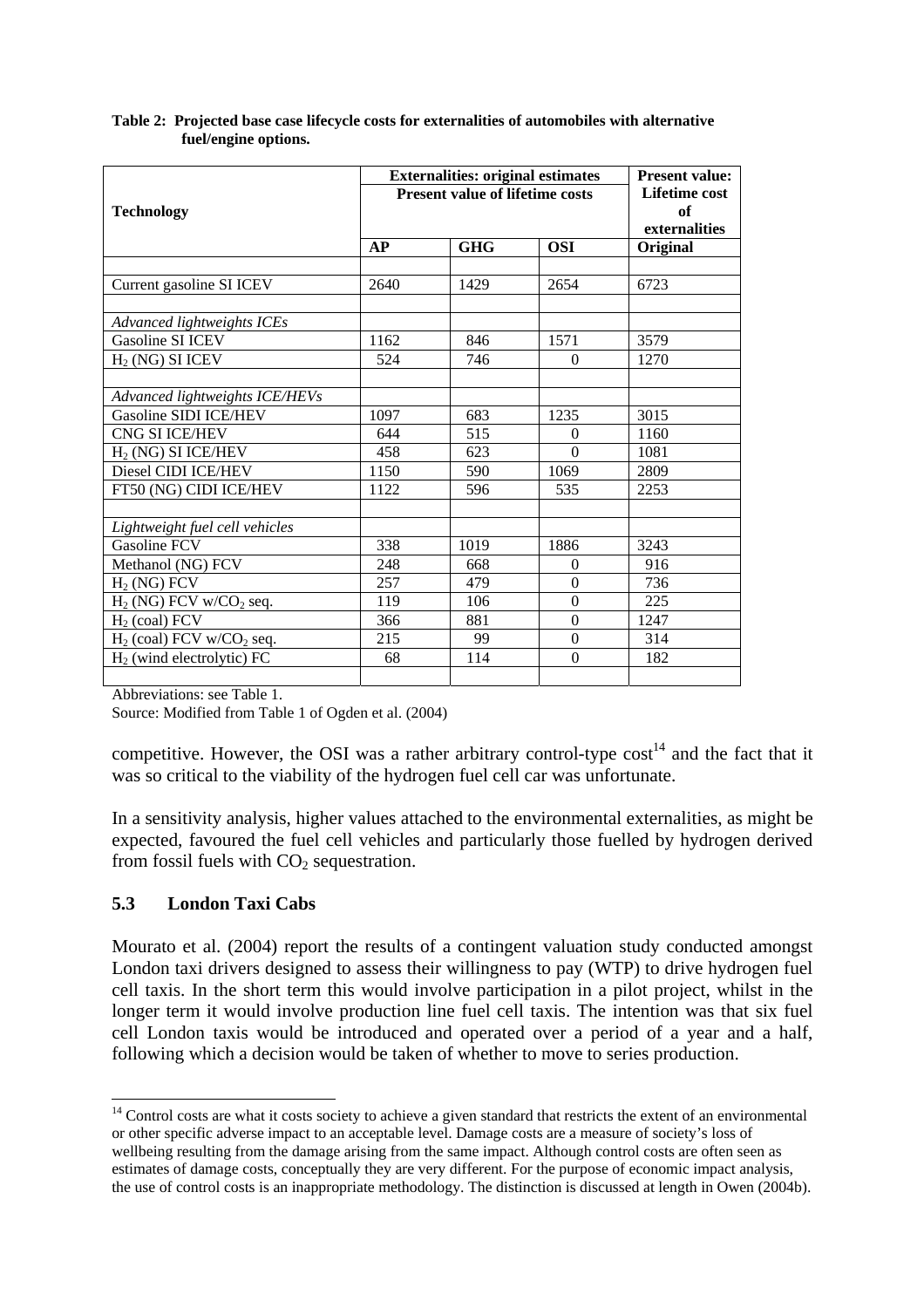|                                         |      | <b>Externalities: original estimates</b> | <b>Present value:</b> |               |  |
|-----------------------------------------|------|------------------------------------------|-----------------------|---------------|--|
|                                         |      | <b>Present value of lifetime costs</b>   |                       |               |  |
| <b>Technology</b>                       |      |                                          |                       | of            |  |
|                                         |      |                                          |                       | externalities |  |
|                                         | AP   | <b>GHG</b>                               | <b>OSI</b>            | Original      |  |
|                                         |      |                                          |                       |               |  |
| Current gasoline SI ICEV                | 2640 | 1429                                     | 2654                  | 6723          |  |
|                                         |      |                                          |                       |               |  |
| Advanced lightweights ICEs              |      |                                          |                       |               |  |
| <b>Gasoline SI ICEV</b>                 | 1162 | 846                                      | 1571                  | 3579          |  |
| $H2$ (NG) SI ICEV                       | 524  | 746                                      | $\theta$              | 1270          |  |
|                                         |      |                                          |                       |               |  |
| Advanced lightweights ICE/HEVs          |      |                                          |                       |               |  |
| Gasoline SIDI ICE/HEV                   | 1097 | 683                                      | 1235                  | 3015          |  |
| CNG SI ICE/HEV                          | 644  | 515                                      | $\theta$              | 1160          |  |
| $H2$ (NG) SI ICE/HEV                    | 458  | 623                                      | $\Omega$              | 1081          |  |
| Diesel CIDI ICE/HEV                     | 1150 | 590                                      | 1069                  | 2809          |  |
| FT50 (NG) CIDI ICE/HEV                  | 1122 | 596                                      | 535                   | 2253          |  |
|                                         |      |                                          |                       |               |  |
| Lightweight fuel cell vehicles          |      |                                          |                       |               |  |
| <b>Gasoline FCV</b>                     | 338  | 1019                                     | 1886                  | 3243          |  |
| Methanol (NG) FCV                       | 248  | 668                                      | $\theta$              | 916           |  |
| $H_2(NG)$ FCV                           | 257  | 479                                      | $\boldsymbol{0}$      | 736           |  |
| $H_2$ (NG) FCV w/CO <sub>2</sub> seq.   | 119  | 106                                      | $\theta$              | 225           |  |
| $H2$ (coal) FCV                         | 366  | 881                                      | $\boldsymbol{0}$      | 1247          |  |
| $H_2$ (coal) FCV w/CO <sub>2</sub> seq. | 215  | 99                                       | $\overline{0}$        | 314           |  |
| $H2$ (wind electrolytic) FC             | 68   | 114                                      | $\theta$              | 182           |  |
|                                         |      |                                          |                       |               |  |

| Table 2: Projected base case lifecycle costs for externalities of automobiles with alternative |  |
|------------------------------------------------------------------------------------------------|--|
| fuel/engine options.                                                                           |  |

Abbreviations: see Table 1.

Source: Modified from Table 1 of Ogden et al. (2004)

competitive. However, the OSI was a rather arbitrary control-type  $\cos t^{14}$  and the fact that it was so critical to the viability of the hydrogen fuel cell car was unfortunate.

In a sensitivity analysis, higher values attached to the environmental externalities, as might be expected, favoured the fuel cell vehicles and particularly those fuelled by hydrogen derived from fossil fuels with  $CO<sub>2</sub>$  sequestration.

### **5.3 London Taxi Cabs**

 $\overline{a}$ 

Mourato et al. (2004) report the results of a contingent valuation study conducted amongst London taxi drivers designed to assess their willingness to pay (WTP) to drive hydrogen fuel cell taxis. In the short term this would involve participation in a pilot project, whilst in the longer term it would involve production line fuel cell taxis. The intention was that six fuel cell London taxis would be introduced and operated over a period of a year and a half, following which a decision would be taken of whether to move to series production.

 $14$  Control costs are what it costs society to achieve a given standard that restricts the extent of an environmental or other specific adverse impact to an acceptable level. Damage costs are a measure of society's loss of wellbeing resulting from the damage arising from the same impact. Although control costs are often seen as estimates of damage costs, conceptually they are very different. For the purpose of economic impact analysis, the use of control costs is an inappropriate methodology. The distinction is discussed at length in Owen (2004b).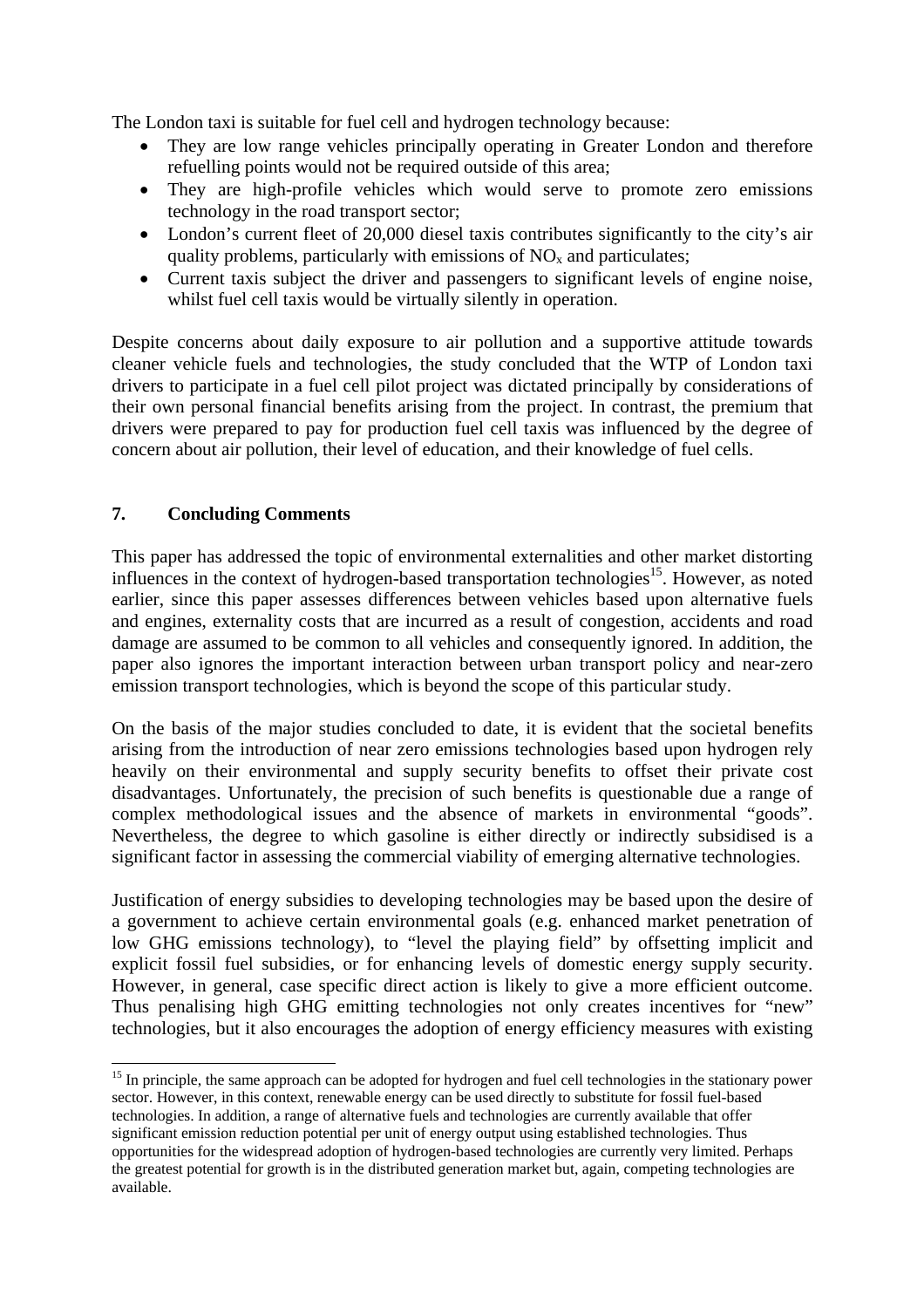The London taxi is suitable for fuel cell and hydrogen technology because:

- They are low range vehicles principally operating in Greater London and therefore refuelling points would not be required outside of this area;
- They are high-profile vehicles which would serve to promote zero emissions technology in the road transport sector;
- London's current fleet of 20,000 diesel taxis contributes significantly to the city's air quality problems, particularly with emissions of  $NO<sub>x</sub>$  and particulates;
- Current taxis subject the driver and passengers to significant levels of engine noise, whilst fuel cell taxis would be virtually silently in operation.

Despite concerns about daily exposure to air pollution and a supportive attitude towards cleaner vehicle fuels and technologies, the study concluded that the WTP of London taxi drivers to participate in a fuel cell pilot project was dictated principally by considerations of their own personal financial benefits arising from the project. In contrast, the premium that drivers were prepared to pay for production fuel cell taxis was influenced by the degree of concern about air pollution, their level of education, and their knowledge of fuel cells.

# **7. Concluding Comments**

This paper has addressed the topic of environmental externalities and other market distorting influences in the context of hydrogen-based transportation technologies<sup>15</sup>. However, as noted earlier, since this paper assesses differences between vehicles based upon alternative fuels and engines, externality costs that are incurred as a result of congestion, accidents and road damage are assumed to be common to all vehicles and consequently ignored. In addition, the paper also ignores the important interaction between urban transport policy and near-zero emission transport technologies, which is beyond the scope of this particular study.

On the basis of the major studies concluded to date, it is evident that the societal benefits arising from the introduction of near zero emissions technologies based upon hydrogen rely heavily on their environmental and supply security benefits to offset their private cost disadvantages. Unfortunately, the precision of such benefits is questionable due a range of complex methodological issues and the absence of markets in environmental "goods". Nevertheless, the degree to which gasoline is either directly or indirectly subsidised is a significant factor in assessing the commercial viability of emerging alternative technologies.

Justification of energy subsidies to developing technologies may be based upon the desire of a government to achieve certain environmental goals (e.g. enhanced market penetration of low GHG emissions technology), to "level the playing field" by offsetting implicit and explicit fossil fuel subsidies, or for enhancing levels of domestic energy supply security. However, in general, case specific direct action is likely to give a more efficient outcome. Thus penalising high GHG emitting technologies not only creates incentives for "new" technologies, but it also encourages the adoption of energy efficiency measures with existing

<sup>&</sup>lt;sup>15</sup> In principle, the same approach can be adopted for hydrogen and fuel cell technologies in the stationary power sector. However, in this context, renewable energy can be used directly to substitute for fossil fuel-based technologies. In addition, a range of alternative fuels and technologies are currently available that offer significant emission reduction potential per unit of energy output using established technologies. Thus opportunities for the widespread adoption of hydrogen-based technologies are currently very limited. Perhaps the greatest potential for growth is in the distributed generation market but, again, competing technologies are available.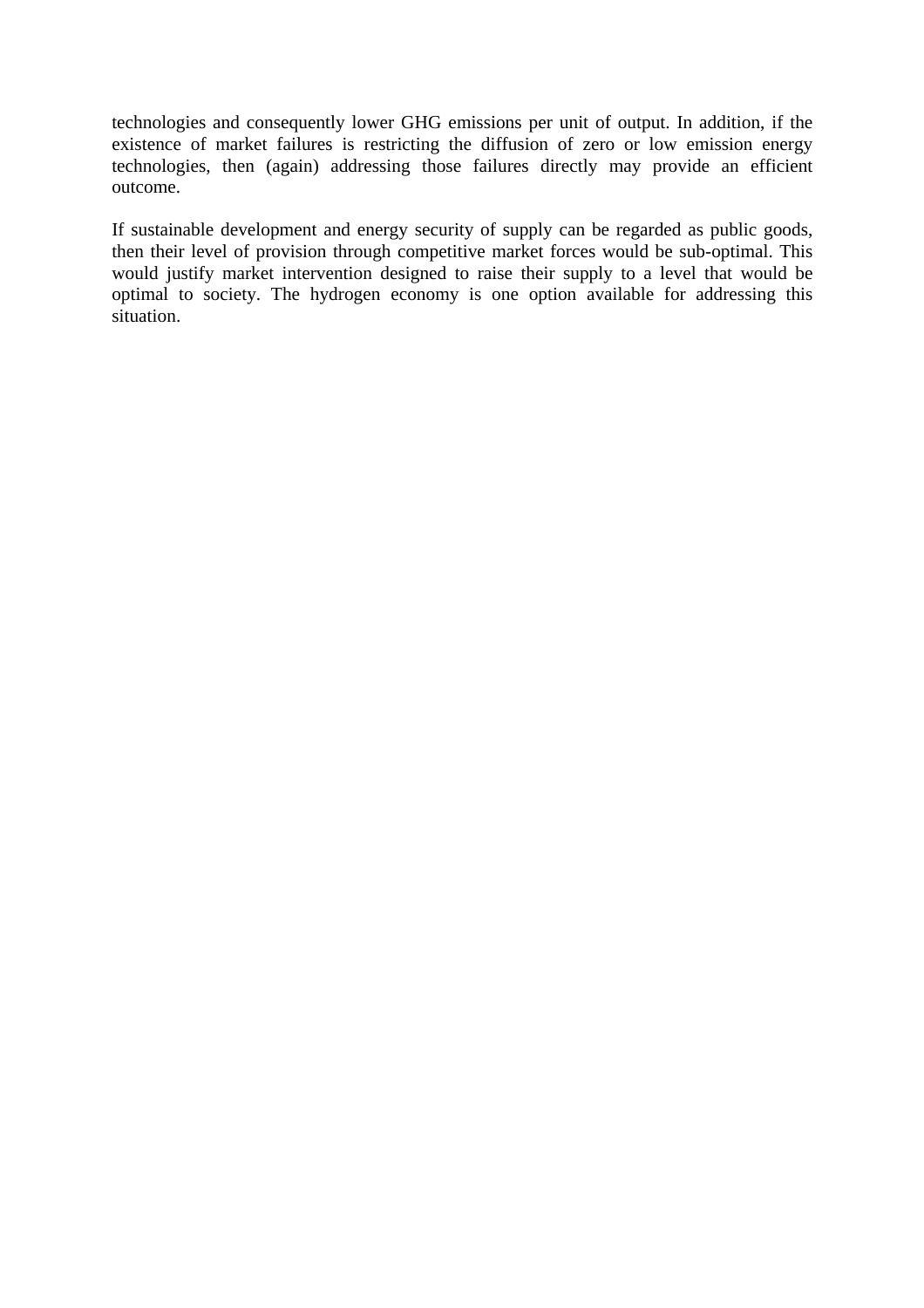technologies and consequently lower GHG emissions per unit of output. In addition, if the existence of market failures is restricting the diffusion of zero or low emission energy technologies, then (again) addressing those failures directly may provide an efficient outcome.

If sustainable development and energy security of supply can be regarded as public goods, then their level of provision through competitive market forces would be sub-optimal. This would justify market intervention designed to raise their supply to a level that would be optimal to society. The hydrogen economy is one option available for addressing this situation.